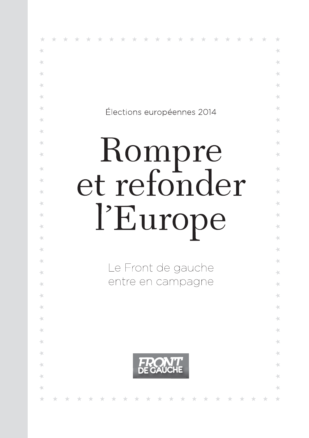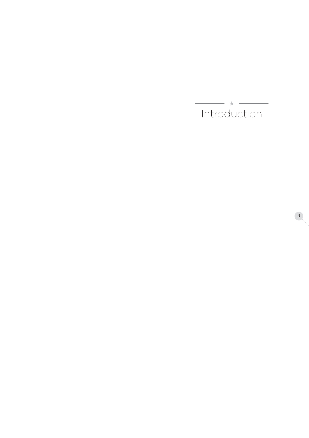$\begin{tabular}{c} \hline \quad \quad & \star \quad \quad \\ \hline \quad \quad & \text{Introduction} \end{tabular}$ 

 $\begin{array}{c} 3 \end{array}$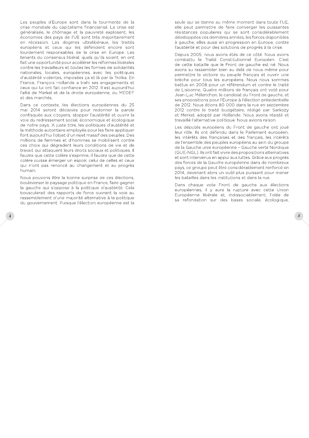Les peuples d'Europe sont dans la tourmente de la crise mondiale du capitalisme financiarisé. La crise est généralisée, le chômage et la pauvreté explosent, les économies des pays de l'UE sont très majoritairement en récession. Les dogmes ultralibéraux, les traités européens et ceux qui les défendent encore sont lourdement responsables de la crise en Europe. Les tenants du consensus libéral, quels qu'ils soient, en ont fait une opportunité pour accélérer les réformes libérales contre les travailleurs et toutes les formes de solidarités nationales, locales, européennes avec les politiques d'austérité violentes, imposées ça et là par la Troïka. En France, François Hollande a trahi ses engagements et ceux qui lui ont fait confiance en 2012. Il est aujourd'hui l'allié de Merkel et de la droite européenne, du MEDEF et des marchés

Dans ce contexte, les élections européennes du 25 mai 2014 seront décisives pour redonner la parole confisquée aux citoyens, stopper l'austérité et ouvrir la voie du redressement social, économique et écologique de notre pays. A juste titre, les politiques d'austérité et la méthode autoritaire employée pour les faire appliquer font aujourd'hui l'objet d'un rejet massif des peuples. Des millions de femmes et d'hommes se mobilisent contre ces choix qui dégradent leurs conditions de vie et de travail, qui attaquent leurs droits sociaux et politiques. Il faudra que cette colère s'exprime, il faudra que de cette colère puisse émerger un espoir, celui de celles et ceux qui n'ont pas renoncé au changement et au progrès humain.

Nous pouvons être la bonne surprise de ces élections, bouleverser le paysage politique en France, faire gagner la gauche qui s'oppose à la politique d'austérité. Cela bousculerait des rapports de force ouvrant la voie au rassemblement d'une majorité alternative à la politique du gouvernement. Puisque l'élection européenne est la seule qui se tienne au même moment dans toute l'UE, elle peut permettre de faire converger les puissantes résistances populaires qui se sont considérablement développées ces dernières années, les forces disponibles à gauche, elles aussi en progression en Europe, contre l'austérité et pour des solutions de progrès à la crise.

Depuis 2005, nous avons étés de ce côté. Nous avons combattu le Traité Constitutionnel Européen. C'est de cette bataille que le Front de gauche est né. Nous avons su rassembler bien au delà de nous même pour permettre la victoire du peuple français et ouvrir une brèche pour tous les européens. Nous nous sommes battus en 2008 pour un référendum et contre le traité de Lisbonne. Quatre millions de français ont voté pour Jean-Luc Mélenchon, le candidat du Front de gauche, et ses propositions pour l'Europe à l'élection présidentielle de 2012. Nous étions 80 000 dans la rue en septembre 2012 contre le traité budgétaire, rédigé par Sarkozy et Merkel, adopté par Hollande. Nous avons résisté et travaillé l'alternative politique. Nous avions raison.

Les députés européens du Front de gauche ont joué leur rôle. Ils ont défendu dans le Parlement européen, les intérêts des françaises et des français, les intérêts de l'ensemble des peuples européens au sein du groupe de la Gauche unie européenne - Gauche verte Nordique (GUE-NGL). Ils ont fait vivre des propositions alternatives et sont intervenus en appui aux luttes. Grâce aux progrès des forces de la Gauche européenne dans de nombreux pays, ce groupe peut être considérablement renforcé en 2014, devenant alors un outil plus puissant pour mener les batailles dans les institutions et dans la rue.

Dans chaque vote Front de gauche aux élections européennes, il y aura la rupture avec cette Union Européenne libérale et, indissociablement, l'idée de sa refondation sur des bases sociale, écologique,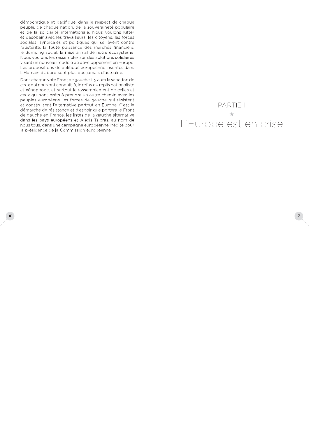démocratique et pacifique, dans le respect de chaque peuple, de chaque nation, de la souveraineté populaire et de la solidarité internationale. Nous voulons lutter et désobéir avec les travailleurs, les citoyens, les forces sociales, syndicales et politiques qui se lèvent contre l'austérité, la toute puissance des marchés financiers, le dumping social, la mise à mal de notre écosystème. Nous voulons les rassembler sur des solutions solidaires visant un nouveau modèle de développement en Europe. Les propositions de politique européenne inscrites dans L'Humain d'abord sont plus que jamais d'actualité.

Dans chaque vote Front de gauche, il y aura la sanction de ceux qui nous ont conduit là, le refus du replis nationaliste et xénophobe, et surtout le rassemblement de celles et ceux qui sont prêts à prendre un autre chemin avec les peuples européens, les forces de gauche qui résistent et construisent l'alternative partout en Europe. C'est la démarche de résistance et d'espoir que portera le Front de gauche en France, les listes de la gauche alternative dans les pays européens et Alexis Tsipras, au nom de nous tous, dans une campagne européenne inédite pour la présidence de la Commission européenne.

 $6<sup>°</sup>$ 



 $\boxed{7}$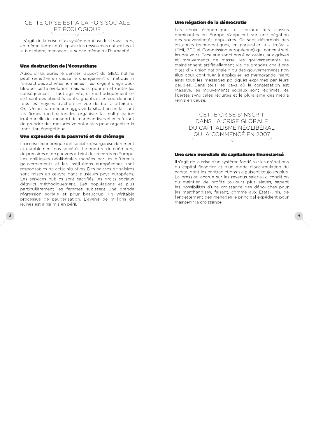### CETTE CRISE EST À LA FOIS SOCIALE ET ÉCOLOGIQUE

Il s'agit de la crise d'un système qui use les travailleurs, en même temps qu'il épuise les ressources naturelles et la biosphère, menaçant la survie même de l'humanité.

#### Une destruction de l'écosystème

Aujourd'hui, après le dernier rapport du GIEC, nul ne peut remettre en cause le changement climatique ni l'impact des activités humaines. Il est urgent d'agir pour bloquer cette évolution mais aussi pour en affronter les conséquences. Il faut agir vite, et méthodiquement en se fixant des objectifs contraignants et en coordonnant tous les moyens d'action en vue du but à atteindre. Or, l'Union européenne aggrave la situation en laissant les firmes multinationales organiser la multiplication irrationnelle du transport de marchandises et en refusant de prendre des mesures volontaristes pour organiser la transition énergétique.

#### Une explosion de la pauvreté et du chômage

La « crise économique » et sociale désorganise durement et durablement nos sociétés. Le nombre de chômeurs, de précaires et de pauvres atteint des records en Europe. Les politiques néolibérales menées par les différents aouvernements et les institutions européennes sont responsables de cette situation. Des baisses de salaires sont mises en œuvre dans plusieurs pays européens. Les services publics sont sacrifiés, les droits sociaux détruits méthodiquement. Les populations et plus particulièrement les femmes subissent une grande régression sociale et pour beaucoup, un véritable processus de paupérisation. L'avenir de millions de jeunes est ainsi mis en péril.

#### Une négation de la démocratie

Les choix économiques et sociaux des classes dominantes en Europe s'appuient sur une négation des souverainetés populaires. Ce sont désormais des instances technocratiques, en particulier la « troïka » (FMI, BCE et Commission européenne) qui concentrent les pouvoirs. Face aux sanctions électorales, aux grèves et mouvements de masse, les gouvernements se maintiennent artificiellement via de grandes coalitions dites d'« union nationale » ou des gouvernements non élus pour continuer à appliquer les memoranda, niant ainsi tous les messages politiques exprimés par leurs peuples. Dans tous les pays où la contestation est massive, les mouvements sociaux sont réprimés, les libertés syndicales réduites et le pluralisme des média remis en cause.

> CETTE CRISE S'INSCRIT DANS LA CRISE GLOBALE DU CAPITALISME NÉOLIBÉRAL QUI A COMMENCÉ EN 2007

#### Une crise mondiale du capitalisme financiarisé

Il s'agit de la crise d'un système fondé sur les prédations du capital financier et d'un mode d'accumulation du capital dont les contradictions s'aiguisent toujours plus. La pression accrue sur les revenus salariaux, condition du maintien de profits toujours plus élevés, sapent les possibilités d'une croissance des débouchés pour les marchandises, faisant, comme aux Etats-Unis, de l'endettement des ménages le principal expédient pour maintenir la croissance.

 $\overline{g}$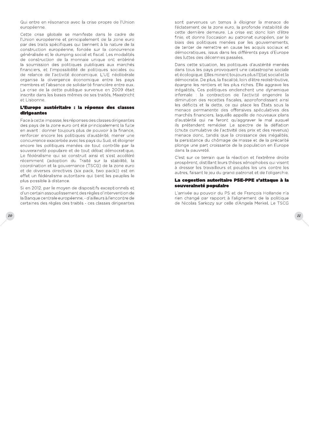Qui entre en résonance avec la crise propre de l'Union européenne

Cette crise globale se manifeste dans le cadre de l'Union européenne et principalement de la zone euro par des traits spécifiques qui tiennent à la nature de la construction européenne, fondée sur la concurrence généralisée et le dumping social et fiscal. Les modalités de construction de la monnaie unique ont entériné la soumission des politiques publiques aux marchés financiers, et l'impossibilité de politiques sociales ou de relance de l'activité économique. L'UE néolibérale organise la divergence économique entre les pays membres et l'absence de solidarité financière entre eux. La crise de la dette publique survenue en 2009 était inscrite dans les bases mêmes de ses traités. Maastricht et Lisbonne.

#### L'Europe austéritaire : la réponse des classes dirigeantes

Face à cette impasse, les réponses des classes dirigeantes des pays de la zone euro ont été principalement la fuite en avant : donner toujours plus de pouvoir à la finance, renforcer encore les politiques d'austérité, mener une concurrence exacerbée avec les pays du Sud, et éloigner encore les politiques menées de tout contrôle par la souveraineté populaire et de tout débat démocratique. Le fédéralisme qui se construit ainsi et s'est accéléré récemment (adoption du Traité sur la stabilité, la coordination et la gouvernance (TSCG) de la zone euro et de diverses directives (six pack, two pack)) est en effet un fédéralisme autoritaire qui tient les peuples le plus possible à distance.

Si en 2012, par le moyen de dispositifs exceptionnels et d'un certain assouplissement des règles d'intervention de la Banque centrale européenne, - d'ailleurs à l'encontre de certaines des règles des traités - ces classes dirigeantes

sont parvenues un temps à éloigner la menace de l'éclatement de la zone euro, la profonde instabilité de cette dernière demeure. La crise est donc loin d'être finie, et donne l'occasion au patronat européen, par le biais des politiques menées par les gouvernements, de tenter de remettre en cause les acquis sociaux et démocratiques, issus dans les différents pays d'Europe des luttes des décennies passées.

Dans cette situation, les politiques d'austérité menées dans tous les pays provoquent une catastrophe sociale et écologique. Elles minent toujours plus l'Etat social et la démocratie. De plus, la fiscalité, loin d'être redistributive, épargne les rentiers et les plus riches. Elle aggrave les inégalités. Ces politiques enclenchent une dynamique infernale : la contraction de l'activité engendre la diminution des recettes fiscales, approfondissant ainsi les déficits et la dette, ce qui place les États sous la menace permanente des offensives spéculatives des marchés financiers, laquelle appelle de nouveaux plans d'austérité qui ne feront qu'aggraver le mal auquel ils prétendent remédier. Le spectre de la déflation (chute cumulative de l'activité des prix et des revenus) menace donc, tandis que la croissance des inégalités, la persistance du chômage de masse et de la précarité plonge une part croissante de la population en Europe dans la pauvreté.

C'est sur ce terrain que la réaction et l'extrême droite prospèrent distillant leurs thèses xénophobes qui visent à dresser les travailleurs et peuples les uns contre les autres, faisant le jeu du grand patronat et de l'oligarchie.

#### La cogestion autoritaire PSE-PPE s'attaque à la souveraineté populaire

L'arrivée au pouvoir du PS et de Francois Hollande n'a rien changé par rapport à l'alignement de la politique de Nicolas Sarkozy sur celle d'Angela Merkel. Le TSCG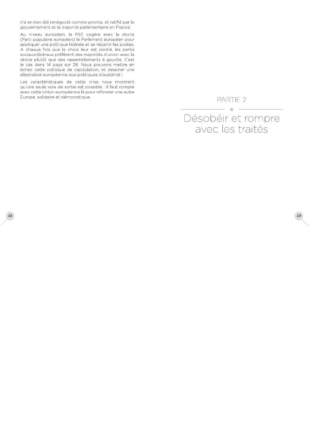n'a en rien été renégocié comme promis, et ratifié par le gouvernement et la majorité parlementaire en France.

Au niveau européen, le PSE cogère avec la droite (Parti populaire européen) le Parlement européen pour appliquer une politique libérale et se répartir les postes. A chaque fois que le choix leur est donné, les partis sociaux-libéraux préfèrent des majorités d'union avec la droite plutôt que des rassemblements à gauche. C'est le cas dans 14 pays sur 28. Nous pouvons mettre en échec cette politique de capitulation, et dessiner une alternative européenne aux politiques d'austérité !

Les caractéristiques de cette crise nous montrent qu'une seule voie de sortie est possible : il faut rompre avec cette Union européenne là pour refonder une autre Europe, solidaire et démocratique.

PARTIE<sub>2</sub>

## $\sim$ Désobéir et rompre avec les traités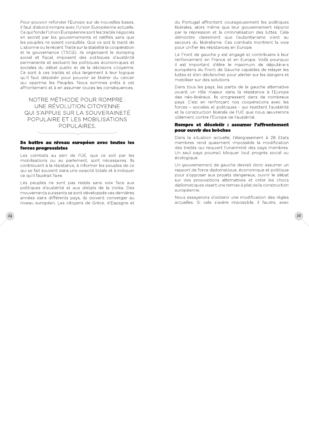Pour pouvoir refonder l'Europe sur de nouvelles bases, il faut d'abord rompre avec l'Union Européenne actuelle. Ce qui fonde l'Union Européenne sont les traités négociés en secret par les gouvernements et ratifiés sans que les peuples ne soient consultés. Que ce soit le traité de Lisbonne ou le récent Traité sur la stabilité la coopération et la gouvernance (TSCG), ils organisent le dumping social et fiscal, imposent des politiques d'austérité permanente et excluent les politiques économiques et sociales du débat public et de la décisions citovenne. Ce sont à ces traités et plus largement à leur logique qu'il faut désobéir pour pouvoir se libérer du carcan qui opprime les Peuples. Nous sommes prêts à cet affrontement et à en assumer toutes les conséquences.

NOTRE MÉTHODE POUR ROMPRE : UNE RÉVOLUTION CITOYENNE QUI S'APPUIE SUR LA SOUVERAINETÉ POPULAIRE ET LES MOBILISATIONS POPULAIRES.

#### Se battre au niveau européen avec toutes les forces progressistes

Les combats au sein de l'UE, que ce soit par les mobilisations ou au parlement, sont nécessaires. Ils contribuent à la résistance, à informer les peuples de ce qui se fait souvent dans une opacité totale et à indiquer ce qu'il faudrait faire.

Les peuples ne sont pas restés sans voix face aux politiques d'austérité et aux diktats de la troïka. Des mouvements puissants se sont développés ces dernières années dans différents pays, ils doivent converger au niveau européen. Les citoyens de Grèce, d'Espagne et

 $14$ 

du Portugal affrontent courageusement les politiques libérales, alors même que leur gouvernement répond par la répression et la criminalisation des luttes. Cela démontre clairement que l'autoritarisme vient au secours du libéralisme. Ces combats montrent la voie pour unifier les résistances en Europe.

Le Front de gauche y est engagé et contribuera à leur renforcement en France et en Europe. Voilà pourquoi il est important d'élire le maximum de député-e-s européens du Front de Gauche capables de relayer les luttes et d'en déclencher, pour alerter sur les dangers et mobiliser sur des solutions.

Dans tous les pays, les partis de la gauche alternative jouent un rôle majeur dans la résistance à l'Europe des néo-libéraux. Ils progressent dans de nombreux pays. C'est en renforçant nos coopérations avec les forces - sociales et politiques - qui rejettent l'austérité et la construction libérale de l'UE que nous œuvrerons utilement contre l'Europe de l'austérité.

#### Rompre et désobéir : assumer l'affrontement pour ouvrir des brèches

Dans la situation actuelle, l'élargissement à 28 Etats membres rend quasiment impossible la modification des traités qui requiert l'unanimité des pays membres. Un seul pays pourrait bloquer tout progrès social ou écologique.

Un gouvernement de gauche devrait donc assumer un rapport de force diplomatique, économique et politique pour s'opposer aux projets dangereux, ouvrir le débat sur des propositions alternatives et créer les chocs diplomatiques visant une remise à plat de la construction européenne.

Nous essaverons d'obtenir une modification des règles actuelles. Si cela s'avère impossible, il faudra, avec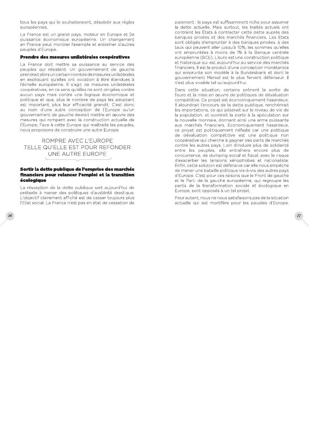tous les pays qui le souhaiteraient, désobéir aux règles européennes

La France est un grand pays, moteur en Europe et 2e puissance économique européenne. Un changement en France peut montrer l'exemple et entraîner d'autres peuples d'Europe.

#### Prendre des mesures unilatérales coopératives

La France doit mettre sa puissance au service des peuples qui résistent. Un gouvernement de gauche prendrait alors un certain nombre de mesures unilatérales en expliquant qu'elles ont vocation à être étendues à l'échelle européenne. Il s'agit de mesures unilatérales coopératives, en ce sens qu'elles ne sont dirigées contre aucun pays mais contre une logique économique et politique et que, plus le nombre de pays les adoptant est important, plus leur efficacité grandit. C'est donc au nom d'une autre conception de l'Europe qu'un gouvernement de gauche devrait mettre en œuvre des mesures qui rompent avec la construction actuelle de l'Europe. Face à cette Europe qui maltraite les peuples, nous proposons de construire une autre Europe.

ROMPRE AVEC L'EUROPE TELLE QU'ELLE EST POUR REFONDER UNE AUTRE EUROPE

#### Sortir la dette publique de l'emprise des marchés financiers pour relancer l'emploi et la transition écologique

La résorption de la dette publique sert aujourd'hui de prétexte à mener des politiques d'austérité drastique. L'objectif clairement affiché est de casser toujours plus l'Etat social. La France n'est pas en état de cessation de paiement : le pays est suffisamment riche pour assumer la dette actuelle. Mais surtout, les traités actuels ont contraint les Etats à contracter cette dette auprès des banques privées et des marchés financiers. Les Etats sont obligés d'emprunter à des banques privées, à des taux qui peuvent aller jusqu'à 10%, les sommes qu'elles ont empruntées à moins de 1% à la Banque centrale européenne (BCE). L'euro est une construction politique et historique qui est aujourd'hui au service des marchés financiers. Il est le produit d'une conception monétariste qui emprunte son modèle à la Bundesbank et dont le gouvernement Merkel est le plus fervent défenseur. Il n'est plus vivable tel qu'aujourd'hui.

Dans cette situation, certains prônent la sortie de l'euro et la mise en œuvre de politiques de dévaluation compétitive. Ce projet est économiquement hasardeux. Il alourdirait l'encours de la dette publique, renchérirait les importations, ce qui pèserait sur le niveau de vie de la population, et ouvrirait la porte à la spéculation sur la nouvelle monnaie, donnant ainsi une arme puissante aux marchés financiers. Economiquement hasardeux, ce projet est politiquement néfaste car une politique de dévaluation compétitive est une politique non coopérative qui cherche à gagner des parts de marchés contre les autres pays. Loin d'induire plus de solidarité entre les peuples, elle entraînera encore plus de concurrence, de dumping social et fiscal, avec le risque d'exacerber les tensions xénophobes et nationaliste. Enfin, cette solution est défensive car elle nous empêche de mener une bataille politique vis-à-vis des autres pays d'Europe. C'est pour ces raisons que le Front de gauche et le Parti de la gauche européenne, qui regroupe les partis de la transformation sociale et écologique en Europe, sont opposés à un tel projet.

Pour autant, nous ne nous satisfaisons pas de la situation actuelle qui est mortifère pour les peuples d'Europe.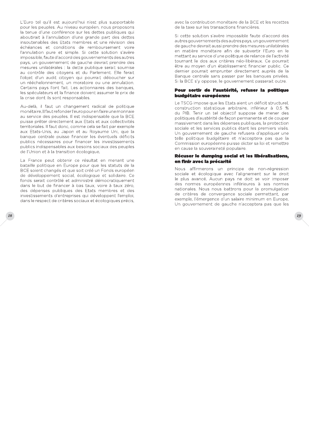L'Euro tel qu'il est aujourd'hui n'est plus supportable pour les peuples. Au niveau européen, nous proposons la tenue d'une conférence sur les dettes publiques qui aboutirait à l'annulation d'une grande part des dettes insoutenables des Etats membres et une révision des échéances et conditions de remboursement voire l'annulation pure et simple. Si cette solution s'avère impossible, faute d'accord des gouvernements des autres pays, un gouvernement de gauche devrait prendre des mesures unilatérales : la dette publique serait soumise au contrôle des citoyens et du Parlement. Elle ferait l'objet d'un audit citoyen qui pourrait déboucher sur un rééchelonnement, un moratoire ou une annulation. Certains pays l'ont fait. Les actionnaires des banques, les spéculateurs et la finance doivent assumer le prix de la crise dont ils sont responsables.

Au-delà, il faut un changement radical de politique monétaire. Il faut refonder l'euro pour en faire une monnaie au service des peuples. Il est indispensable que la BCE puisse prêter directement aux Etats et aux collectivités territoriales. Il faut donc, comme cela se fait par exemple aux Etats-Unis, au Japon et au Royaume Uni, que la banque centrale puisse financer les éventuels déficits publics nécessaires pour financer les investissements publics indispensables aux besoins sociaux des peuples de l'Union et à la transition écologique.

La France peut obtenir ce résultat en menant une bataille politique en Europe pour que les statuts de la BCE soient changés et que soit créé un Fonds européen de développement social, écologique et solidaire. Ce fonds serait contrôlé et administré démocratiquement dans le but de financer à bas taux, voire à taux zéro, des dépenses publiques des Etats membres et des investissements d'entreprises qui développent l'emploi, dans le respect de critères sociaux et écologiques précis,

**18** 

avec la contribution monétaire de la BCE et les recettes de la taxe sur les transactions financières

Si cette solution s'avère impossible faute d'accord des autres gouvernements des autres pays, un gouvernement de gauche devrait aussi prendre des mesures unilatérales en matière monétaire afin de subvertir l'Euro en le mettant au service d'une politique de relance de l'activité tournant le dos aux critères néo-libéraux. Ce pourrait être au moyen d'un établissement financier public. Ce dernier pourrait emprunter directement auprès de la Banque centrale sans passer par les banques privées. Si la BCE s'y oppose, le gouvernement passerait outre.

#### Pour sortir de l'austérité, refuser la politique budgétaire européenne

Le TSCG impose que les Etats aient un déficit structurel, construction statistique arbitraire, inférieur à 0,5 % du PIB. Tenir un tel objectif suppose de mener des politiques d'austérité de façon permanente et de couper massivement dans les dépenses publiques, la protection sociale et les services publics étant les premiers visés. Un gouvernement de gauche refusera d'appliquer une telle politique budgétaire et n'acceptera pas que la Commission européenne puisse dicter sa loi et remettre en cause la souveraineté populaire.

#### Récuser le dumping social et les libéralisations, en finir avec la précarité

Nous affirmerons un principe de non-régression sociale et écologique avec l'alignement sur le droit le plus avancé. Aucun pays ne doit se voir imposer des normes européennes inférieures à ses normes nationales. Nous nous battrons pour la promulgation de critères de convergence sociale permettant, par exemple, l'émergence d'un salaire minimum en Europe. Un gouvernement de gauche n'acceptera pas que les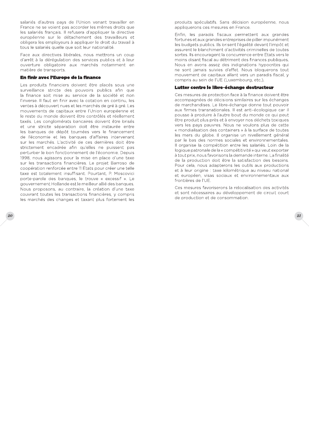salariés d'autres pays de l'Union venant travailler en France ne se voient pas accorder les mêmes droits que les salariés français. Il refusera d'appliquer la directive européenne sur le détachement des travailleurs et obligera les employeurs à appliquer le droit du travail à tous le salariés quelle que soit leur nationalité.

Face aux directives libérales, nous mettrons un coup d'arrêt à la dérégulation des services publics et à leur ouverture obligatoire aux marchés notamment en matière de transports.

#### En finir avec l'Europe de la finance

Les produits financiers doivent être placés sous une surveillance stricte des pouvoirs publics afin que la finance soit mise au service de la société et non l'inverse. Il faut en finir avec la cotation en continu, les ventes à découvert nues et les marchés de gré à gré. Les mouvements de capitaux entre l'Union européenne et le reste du monde doivent être contrôlés et réellement taxés. Les conglomérats bancaires doivent être brisés et une stricte séparation doit être instaurée entre les banques de dépôt tournées vers le financement de l'économie et les banques d'affaires intervenant sur les marchés. L'activité de ces dernières doit être strictement encadrée afin qu'elles ne puissent pas perturber le bon fonctionnement de l'économie. Depuis 1998, nous agissons pour la mise en place d'une taxe sur les transactions financières. Le projet Barroso de coopération renforcée entre 11 Etats pour créer une telle taxe est totalement insuffisant. Pourtant, P. Moscovici porte-parole des banques, le trouve « excessif ». Le gouvernement Hollande est le meilleur allié des banques. Nous proposons, au contraire, la création d'une taxe couvrant toutes les transactions financières, y compris les marchés des changes et taxant plus fortement les

produits spéculatifs. Sans décision européenne, nous appliquerons ces mesures en France.

Enfin, les paradis fiscaux permettent aux grandes fortunes et aux grandes entreprises de piller impunément les budgets publics. Ils brisent l'égalité devant l'impôt et assurent le blanchiment d'activités criminelles de toutes sortes. Ils encouragent la concurrence entre Etats vers le moins disant fiscal au détriment des finances publiques. Nous en avons assez des indignations hypocrites qui ne sont jamais suivies d'effet. Nous bloquerons tout mouvement de capitaux allant vers un paradis fiscal, y compris au sein de l'UE (Luxembourg, etc.).

#### Lutter contre le libre-échange destructeur

Ces mesures de protection face à la finance doivent être accompagnées de décisions similaires sur les échanges de marchandises. Le libre-échange donne tout pouvoir aux firmes transnationales. Il est anti-écologique car il pousse à produire à l'autre bout du monde ce qui peut être produit plus près et à envoyer nos déchets toxiques vers les pays pauvres. Nous ne voulons plus de cette « mondialisation des containers » à la surface de toutes les mers du globe. Il organise un nivellement général par le bas des normes sociales et environnementales. Il organise la compétition entre les salariés. Loin de la logique patronale de la « compétitivité » qui veut exporter à tout prix, nous favorisons la demande interne. La finalité de la production doit être la satisfaction des besoins. Pour cela, nous adapterons les outils aux productions et à leur origine : taxe kilométrique au niveau national et européen, visas sociaux et environnementaux aux frontières de l'UE

Ces mesures favoriserons la relocalisation des activités et sont nécessaires au développement de circuit court de production et de consommation.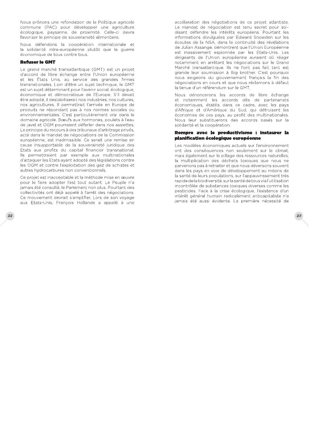Nous prônons une refondation de la Politique agricole commune (PAC) pour développer une agriculture écologique, paysanne, de proximité. Celle-ci devra favoriser le principe de souveraineté alimentaire.

Nous défendons la coopération internationale et la solidarité intra-européenne plutôt que la guerre économique de tous contre tous.

#### **Refuser le GMT**

Le grand marché transatlantique (GMT) est un projet d'accord de libre échange entre l'Union européenne et les États Unis, au service des grandes firmes transnationales. Loin d'être un sujet technique, le GMT est un sujet déterminant pour l'avenir social, écologique, économique et démocratique de l'Europe. S'il devait être adopté, il destabiliserait nos industries, nos cultures, nos agricultures. Il permettrait l'arrivée en Europe de produits ne répondant pas à nos normes sociales ou environnementales. C'est particulièrement vrai dans le domaine agricole. Bœufs aux hormones, poulets à l'eau de javel et OGM pourraient déferler dans nos assiettes. Le principe du recours à des tribunaux d'arbitrage privés, acté dans le mandat de négociations de la Commission européenne, est inadmissible. Ce serait une remise en cause insupportable de la souveraineté juridique des Etats aux profits du capital financier transnational. Ils permettraient par exemple aux multinationales d'attaquer les Etats ayant adopté des législations contre les OGM et contre l'exploitation des gaz de schistes et autres hydrocarbures non conventionnels.

Ce projet est inacceptable et la méthode mise en œuvre pour le faire adopter l'est tout autant. Le Peuple n'a jamais été consulté, le Parlement non plus. Pourtant des collectivités ont déjà appelé à l'arrêt des négociations. Ce mouvement devrait s'amplifier. Lors de son voyage aux Etats-Unis, François Hollande a appelé à une accélaration des négotiations de ce projet atlantiste. Le mandat de négociation est tenu secret pour soidisant défendre les intérêts européens. Pourtant les informations divulguées par Edward Snowden sur les écoutes de la NSA, dans la continuité des révélations de Julian Assange, démontrent que l'Union Européenne est massivement espionnée par les Etats-Unis. Les dirigeants de l'Union européenne auraient dû réagir notamment en arrêtant les négociations sur le Grand Marché transatlantique. Ils ne l'ont pas fait tant est grande leur soumission à Big brother. C'est pourquoi nous exigeons du gouvernement français la fin des négociations en cours et que nous réclamons à défaut la tenue d'un référendum sur le GMT.

Nous dénoncerons les accords de libre échange et notamment les accords dits de partenariats économiques, établis dans ce cadre, avec les pays d'Afrique et d'Amérique du Sud, qui détruisent les économies de ces pays, au profit des multinationales. Nous leur substituerons des accords basés sur la solidarité et la coopération.

#### Rompre avec le productivisme : instaurer la planification écologique européenne

Les modèles économiques actuels sur l'environnement ont des conséquences non seulement sur le climat, mais également sur le pillage des ressources naturelles, la multiplication des déchets toxiques que nous ne parvenons pas à retraiter et que nous déversons souvent dans les pays en voie de développement au mépris de la santé de leurs populations, sur l'appauvrissement très rapide de la biodiversité, sur la santé de tous via l'utilisation incontrôlée de substances toxiques diverses comme les pesticides. Face à la crise écologique, l'existence d'un intérêt général humain radicalement anticapitaliste n'a jamais été aussi évidente. La première nécessité de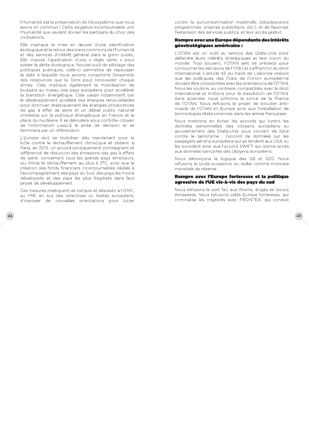l'Humanité est la préservation de l'écosystème que nous avons en commun ! Cette exigence incontournable unit l'humanité que veulent diviser les partisans du choc des civilisations.

Elle implique la mise en œuvre d'une planification écologique et le retour des biens communs de l'humanité et des services d'intérêt général dans le giron public. Elle impose l'application d'une « règle verte » pour solder la dette écologique. Nouvel outil de pilotage des politiques publiques, celle-ci permettra de repousser la date à laquelle nous aurons consommé l'ensemble des ressources que la Terre peut renouveler chaque année. Cela implique également la mobilisation de budgets au niveau des pays européens pour accélérer la transition énergétique. Cela passe notamment par le développement accéléré des énergies renouvelables pour diminuer drastiquement les énergies productrices de gaz à effet de serre et un débat public national immédiat sur la politique énergétique en France et la place du nucléaire. Il se déroulera sous contrôle citoyen de l'information jusqu'à la prise de décision et se terminera par un référendum.

L'Europe doit se mobiliser dès maintenant pour la lutte contre le réchauffement climatique et obtenir, à Paris, en 2015, un accord juridiquement contraignant et différencié de réduction des émissions des gaz à effets de serre, concernant tous les grands pays émetteurs. qui limite le réchauffement au plus à 2°C, ainsi que la création des fonds financiers incontournables dédiés à l'accompagnement des pays du Sud, des pays les moins développés et des pays les plus fragilisés dans leur projet de développement.

Ces mesures impliquent de rompre et désobéir à l'OMC, au FMI, en sus des directives ou traités européens, d'imposer de nouvelles orientations pour lutter contre la surconsommation matérielle (obsolescence programmée, emprise publicitaire, etc.), et de favoriser l'extension des services publics, et leur accès gratuit.

#### Rompre avec une Europe dépendante des intérêts géostratégiques américains :

L'OTAN est un outil au service des Etats-Unis pour défendre leurs intérêts stratégiques et leur vision du monde. Trop souvent, l'OTAN sert de prétexte pour contourner les décisions de l'ONU et s'affranchir du droit international. L'article 42 du traité de Lisbonne prévoit que les politiques des Etats de l'Union européenne doivent être compatibles avec les orientations de l'OTAN. Nous les voulons, au contraire, compatibles avec le droit international et militons pour la dissolution de l'OTAN. Sans attendre, nous prônons la sortie de la France de l'OTAN. Nous refusons le projet de bouclier antimissile de l'OTAN en Europe ainsi que l'installation de technologies états-uniennes dans les armes françaises.

Nous mettrons en échec les accords qui livrent les données personnelles des citoyens européens au gouvernement des Etats-Unis sous couvert de lutte contre le terrorisme : l'accord de données sur les passagers aériens européens qui se rendent aux USA ou les survolent ainsi que l'accord SWIFT qui donne accès aux données bancaires des citoyens européens.

Nous dénonçons la logique des G8 et G20. Nous refusons la toute puissance du dollar comme monnaie mondiale de réserve.

#### Rompre avec l'Europe forteresse et la politique agressive de l'UE vis-à-vis des pays du sud

Nous refusons le sort fait aux Rroms, érigés en boucs émissaires. Nous refusons cette Europe forteresse, qui criminalise les migrants avec FRONTEX, qui conduit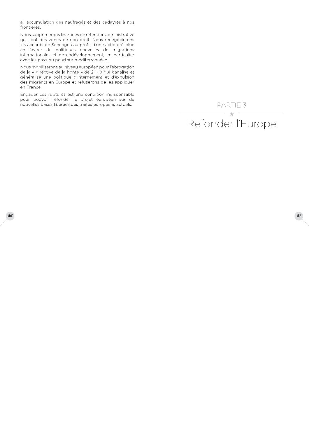à l'accumulation des naufragés et des cadavres à nos frontières.

Nous supprimerons les zones de rétention administrative qui sont des zones de non droit. Nous renégocierons les accords de Schengen au profit d'une action résolue en faveur de politiques nouvelles de migrations internationales et de codéveloppement, en particulier avec les pays du pourtour méditérrannéen.

Nous mobiliserons au niveau européen pour l'abrogation de la « directive de la honte » de 2008 qui banalise et généralise une politique d'internement et d'expulsion des migrants en Europe et refuserons de les appliquer en France.

Engager ces ruptures est une condition indispensable pour pouvoir refonder le projet européen sur de nouvelles bases libérées des traités européens actuels.

PARTIE 3  $\rightarrow$ Refonder l'Europe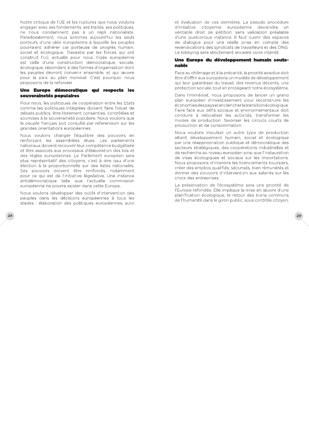Notre critique de l'UE et les ruptures que nous voulons engager avec ses fondements, ses traités, ses politiques, ne nous condamnent pas à un repli nationaliste. Paradoxalement, nous sommes aujourd'hui les seuls porteurs d'une idée européenne à laquelle les peuples pourraient adhérer car porteuse de progrès humain, social et écologique. Travestie par les forces qui ont construit l'UE actuelle pour nous, l'idée européenne est celle d'une construction démocratique, sociale, écologique, répondant à des formes d'organisation dont les peuples devront convenir ensemble, et qui œuvre pour la paix au plan mondial. C'est pourquoi nous proposons de la refonder.

#### Une Europe démocratique qui respecte les souverainetés populaires

Pour nous, les politiques de coopération entre les Etats comme les politiques intégrées doivent faire l'objet de débats publics, être librement consenties, contrôlées et soumises à la souveraineté populaire. Nous voulons que le peuple français soit consulté par referendum sur les grandes orientations européennes.

Nous voulons changer l'équilibre des pouvoirs en renforcant les assemblées élues. Les parlements nationaux doivent recouvrir leur compétence budgétaire et être associés aux processus d'élaboration des lois et des règles européennes. Le Parlement européen sera plus représentatif des citoyens, c'est à dire issu d'une élection à la proportionnelle sur des listes nationales. Ses pouvoirs doivent être renforcés, notamment pour ce qui est de l'initiative législative. Une instance antidémocratique telle que l'actuelle commission européenne ne pourra exister dans cette Europe...

Nous voulons développer des outils d'intervention des peuples dans les décisions européennes à tous les stades : élaboration des politiques européennes, suiviet évaluation de ces dernières. La pseudo procédure d'initiative citoyenne européenne deviendra un véritable droit de pétition, sans validation préalable d'une quelconque instance. Il faut ouvrir des espaces de dialogue pour une réelle prise en compte des revendications des syndicats de travailleurs et des ONG. Le lobbying sera strictement encadré voire interdit.

#### Une Europe du développement humain soutenable

Face au chômage et à la précarité, la priorité absolue doit être d'offrir aux européens un modèle de développement qui leur garantisse du travail, des revenus décents, une protection sociale, tout en protégeant notre écosystème.

Dans l'immédiat, nous proposons de lancer un grand plan européen d'investissement pour reconstruire les économies des payset en clencher la transition écologique. Faire face aux défis sociaux et environnementaux doit conduire à relocaliser les activités, transformer les modes de production, favoriser les circuits courts de production et de consommation.

Nous voulons impulser un autre type de production alliant développement humain, social et écologique par une réappropriation publique et démocratique des secteurs stratégiques, des coopérations industrielles et de recherche au niveau européen ainsi que l'instauration de visas écologiques et sociaux sur les importations. Nous proposons d'interdire les licenciements boursiers, créer des emplois qualifiés, sécurisés, bien rémunérés et donner des pouvoirs d'intervention aux salariés sur les choix des entreprises.

La préservation de l'écosystème sera une priorité de l'Europe refondée. Elle implique la mise en œuvre d'une planification écologique, le retour des biens communs de l'humanité dans le giron public, sous contrôle citoyen,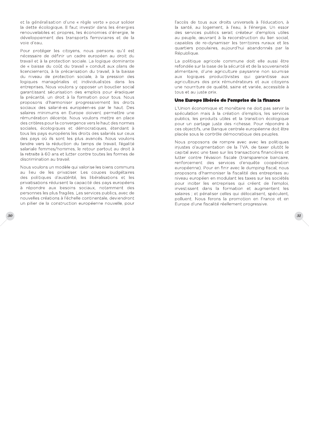et la généralisation d'une « règle verte » pour solder la dette écologique. Il faut investir dans les énergies renouvelables et propres, les économies d'énergie, le développement des transports ferroviaires et de la voie d'eau

Pour protéger les citoyens, nous pensons qu'il est nécessaire de définir un cadre européen au droit du travail et à la protection sociale. La logique dominante de « baisse du coût du travail » conduit aux plans de licenciements, à la précarisation du travail, à la baisse du niveau de protection sociale, à la pression des logiques managériales et individualistes dans les entreprises. Nous voulons y opposer un bouclier social garantissant sécurisation des emplois pour éradiquer la précarité, un droit à la formation pour tous. Nous proposons d'harmoniser progressivement les droits sociaux des salarié-es européen-es par le haut. Des salaires minimums en Europe doivent permettre une rémunération décente. Nous voulons mettre en place des critères pour la convergence vers le haut des normes sociales, écologiques et démocratiques, étendant à tous les pays européens les droits des salariés sur ceux des pays où ils sont les plus avancés. Nous voulons tendre vers la réduction du temps de travail, l'égalité salariale femmes/hommes, le retour partout au droit à la retraite à 60 ans et lutter contre toutes les formes de discrimination au travail.

Nous voulons un modèle qui valorise les biens communs au lieu de les privatiser. Les coupes budgétaires des politiques d'austérité, les libéralisations et les privatisations réduisent la capacité des pays européens à répondre aux besoins sociaux, notamment des personnes les plus fragiles. Les services publics, avec de nouvelles créations à l'échelle continentale, deviendront un pilier de la construction européenne nouvelle, pour l'accès de tous aux droits universels à l'éducation, à la santé, au logement, à l'eau, à l'énergie. Un essor des services publics serait créateur d'emplois utiles au peuple, œuvrant à la reconstruction du lien social, capables de re-dynamiser les territoires ruraux et les quartiers populaires, aujourd'hui abandonnés par la République.

La politique agricole commune doit elle aussi être refondée sur la base de la sécurité et de la souveraineté alimentaire, d'une agriculture paysanne non soumise aux logiques productivistes qui garantisse aux agriculteurs des prix rémunérateurs et aux citoyens une nourriture de qualité, saine et variée, accessible à tous et au juste prix.

#### Une Europe libérée de l'emprise de la finance

L'Union économique et monétaire ne doit pas servir la spéculation mais à la création d'emplois, les services publics, les produits utiles et la transition écologique pour un partage juste des richesse. Pour répondre à ces objectifs, une Banque centrale européenne doit être placée sous le contrôle démocratique des peuples.

Nous proposons de rompre avec avec les politiques injustes d'augmentation de la TVA, de taxer plutôt le capital avec une taxe sur les transactions financières et lutter contre l'évasion fiscale (transparence bancaire, renforcement des services d'enquête coopération européenne). Pour en finir avec le dumping fiscal, nous proposons d'harmoniser la fiscalité des entreprises au niveau européen en modulant les taxes sur les sociétés pour inciter les entreprises qui créent de l'emploi, investissent dans la formation et augmentent les salaires ; et pénaliser celles qui délocalisent, spéculent, polluent. Nous ferons la promotion en France et en Europe d'une fiscalité réellement progressive.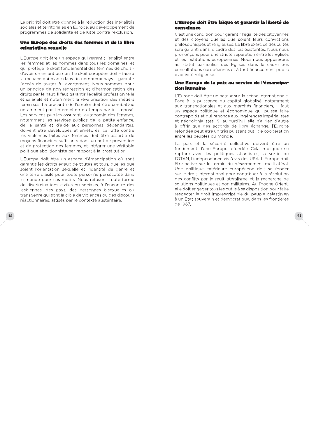La priorité doit être donnée à la réduction des inégalités sociales et territoriales en Europe, au développement de programmes de solidarité et de lutte contre l'exclusion.

#### Une Europe des droits des femmes et de la libre orientation sexuelle

L'Europe doit être un espace qui garantit l'égalité entre les femmes et les hommes dans tous les domaines et qui protège le droit fondamental des femmes de choisir d'avoir un enfant ou non. Le droit européen doit - face à la menace qui plane dans de nombreux pays - garantir l'accès de toutes à l'avortement. Nous sommes pour un principe de non régression et d'harmonisation des droits par le haut. Il faut garantir l'égalité professionnelle et salariale et notamment la revalorisation des métiers féminisés. La précarité de l'emploi doit être combattue notamment par l'interdiction du temps partiel imposé. Les services publics assurant l'autonomie des femmes, notamment les services publics de la petite enfance, de la santé et d'aide aux personnes dépendantes, doivent être développés et améliorés. La lutte contre les violences faites aux femmes doit être assortie de moyens financiers suffisants dans un but de prévention et de protection des femmes, et intégrer une véritable politique abolitionniste par rapport à la prostitution.

L'Europe doit être un espace d'émancipation où sont garantis les droits égaux de toutes et tous, quelles que soient l'orientation sexuelle et l'identité de genre et une terre d'asile pour toute personne persécutée dans le monde pour ces motifs. Nous refusons toute forme de discriminations civiles ou sociales, à l'encontre des lesbiennes, des gays, des personnes bisexuelles ou transgenre qui sont la cible de violences ou des discours réactionnaires, attisés par le contexte austéritaire.

#### L'Europe doit être laïque et garantir la liberté de conscience

C'est une condition pour garantir l'égalité des citoyennes et des citoyens quelles que soient leurs convictions philosophiques et religieuses. Le libre exercice des cultes sera garanti dans le cadre des lois existantes. Nous nous prononçons pour une stricte séparation entre les Eglises et les institutions européennes. Nous nous opposerons au statut particulier des Eglises dans le cadre des consultations européennes et à tout financement public d'activité religieuse.

#### Une Europe de la paix au service de l'émancipation humaine

L'Europe doit être un acteur sur la scène internationale. Face à la puissance du capital globalisé, notamment aux transnationales et aux marchés financiers, il faut un espace politique et économique qui puisse faire contrepoids et qui renonce aux ingérences impérialistes et néocolonialistes. Si aujourd'hui elle n'a rien d'autre à offrir que des accords de libre échange, l'Europe refondée peut être un très puissant outil de coopération entre les peuples du monde.

La paix et la sécurité collective doivent être un fondement d'une Europe refondée. Cela implique une rupture avec les politiques atlantistes, la sortie de l'OTAN, l'indépendance vis à vis des USA. L'Europe doit être active sur le terrain du désarmement multilatéral. Une politique extérieure européenne doit se fonder sur le droit international pour contribuer à la résolution des conflits par le multilatéralisme et la recherche de solutions politiques et non militaires. Au Proche Orient, elle doit engager tous les outils à sa disposition pour faire respecter le droit imprescriptible du peuple palestinien à un Etat souverain et démocratique, dans les frontières de 1967.

 $33<sup>2</sup>$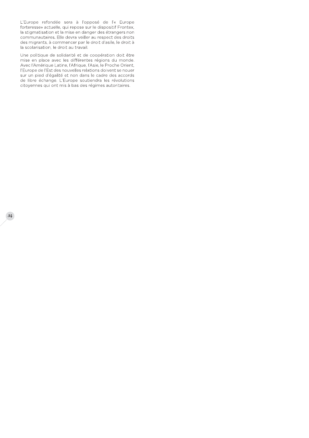L'Europe refondée sera à l'opposé de l'« Europe forteresse» actuelle, qui repose sur le dispositif Frontex, la stigmatisation et la mise en danger des étrangers non communautaires. Elle devra veiller au respect des droits des migrants, à commencer par le droit d'asile, le droit à la scolarisation, le droit au travail.

Une politique de solidarité et de coopération doit être mise en place avec les différentes régions du monde. Avec l'Amérique Latine, l'Afrique, l'Asie, le Proche Orient, l'Europe de l'Est des nouvelles relations doivent se nouer sur un pied d'égalité et non dans le cadre des accords de libre échange. L'Europe soutiendra les révolutions citoyennes qui ont mis à bas des régimes autoritaires.